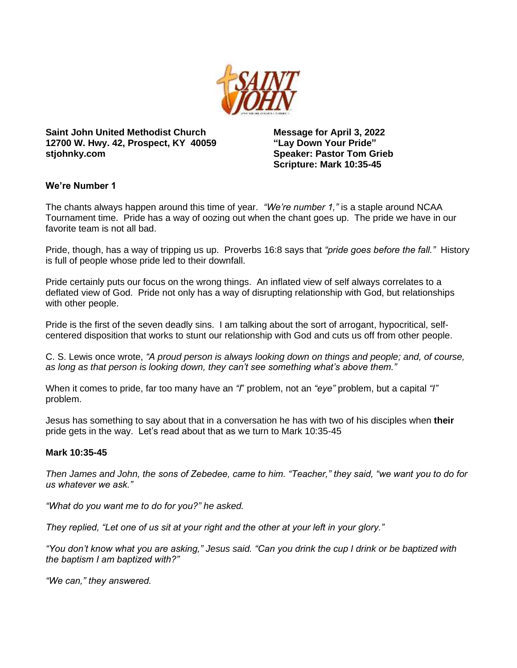

**Saint John United Methodist Church 12700 W. Hwy. 42, Prospect, KY 40059 stjohnky.com**

**Message for April 3, 2022 "Lay Down Your Pride" Speaker: Pastor Tom Grieb Scripture: Mark 10:35-45**

## **We're Number 1**

The chants always happen around this time of year. *"We're number 1,"* is a staple around NCAA Tournament time. Pride has a way of oozing out when the chant goes up. The pride we have in our favorite team is not all bad.

Pride, though, has a way of tripping us up. Proverbs 16:8 says that *"pride goes before the fall."* History is full of people whose pride led to their downfall.

Pride certainly puts our focus on the wrong things. An inflated view of self always correlates to a deflated view of God. Pride not only has a way of disrupting relationship with God, but relationships with other people.

Pride is the first of the seven deadly sins. I am talking about the sort of arrogant, hypocritical, selfcentered disposition that works to stunt our relationship with God and cuts us off from other people.

C. S. Lewis once wrote, *"A proud person is always looking down on things and people; and, of course, as long as that person is looking down, they can't see something what's above them."* 

When it comes to pride, far too many have an *"I*" problem, not an *"eye"* problem, but a capital *"I"* problem.

Jesus has something to say about that in a conversation he has with two of his disciples when **their** pride gets in the way. Let's read about that as we turn to Mark 10:35-45

#### **Mark 10:35-45**

*Then James and John, the sons of Zebedee, came to him. "Teacher," they said, "we want you to do for us whatever we ask."*

*"What do you want me to do for you?" he asked.*

*They replied, "Let one of us sit at your right and the other at your left in your glory."*

*"You don't know what you are asking," Jesus said. "Can you drink the cup I drink or be baptized with the baptism I am baptized with?"*

*"We can," they answered.*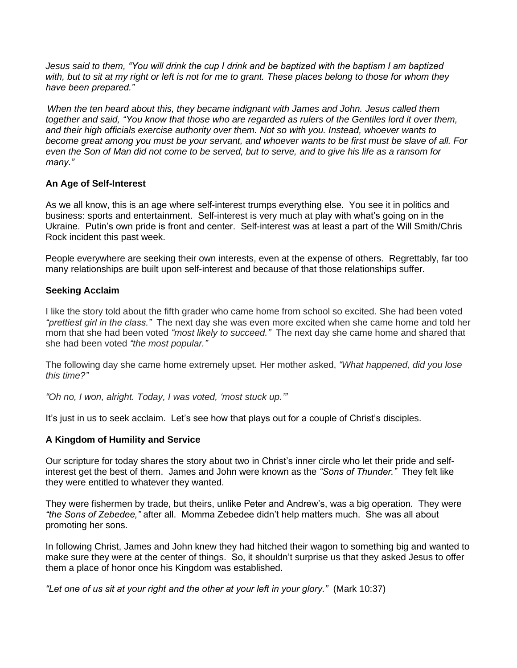*Jesus said to them, "You will drink the cup I drink and be baptized with the baptism I am baptized with, but to sit at my right or left is not for me to grant. These places belong to those for whom they have been prepared."*

*When the ten heard about this, they became indignant with James and John. Jesus called them together and said, "You know that those who are regarded as rulers of the Gentiles lord it over them, and their high officials exercise authority over them. Not so with you. Instead, whoever wants to become great among you must be your servant, and whoever wants to be first must be slave of all. For even the Son of Man did not come to be served, but to serve, and to give his life as a ransom for many."*

## **An Age of Self-Interest**

As we all know, this is an age where self-interest trumps everything else. You see it in politics and business: sports and entertainment. Self-interest is very much at play with what's going on in the Ukraine. Putin's own pride is front and center. Self-interest was at least a part of the Will Smith/Chris Rock incident this past week.

People everywhere are seeking their own interests, even at the expense of others. Regrettably, far too many relationships are built upon self-interest and because of that those relationships suffer.

# **Seeking Acclaim**

I like the story told about the fifth grader who came home from school so excited. She had been voted *"prettiest girl in the class."* The next day she was even more excited when she came home and told her mom that she had been voted *"most likely to succeed."* The next day she came home and shared that she had been voted *"the most popular."*

The following day she came home extremely upset. Her mother asked, *"What happened, did you lose this time?"*

*"Oh no, I won, alright. Today, I was voted, 'most stuck up.'"*

It's just in us to seek acclaim. Let's see how that plays out for a couple of Christ's disciples.

## **A Kingdom of Humility and Service**

Our scripture for today shares the story about two in Christ's inner circle who let their pride and selfinterest get the best of them. James and John were known as the *"Sons of Thunder."* They felt like they were entitled to whatever they wanted.

They were fishermen by trade, but theirs, unlike Peter and Andrew's, was a big operation. They were *"the Sons of Zebedee,"* after all. Momma Zebedee didn't help matters much. She was all about promoting her sons.

In following Christ, James and John knew they had hitched their wagon to something big and wanted to make sure they were at the center of things. So, it shouldn't surprise us that they asked Jesus to offer them a place of honor once his Kingdom was established.

*"Let one of us sit at your right and the other at your left in your glory."* (Mark 10:37)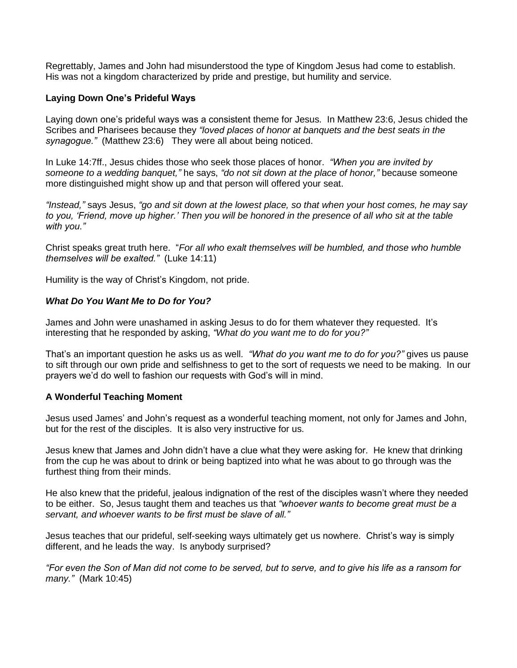Regrettably, James and John had misunderstood the type of Kingdom Jesus had come to establish. His was not a kingdom characterized by pride and prestige, but humility and service.

# **Laying Down One's Prideful Ways**

Laying down one's prideful ways was a consistent theme for Jesus. In Matthew 23:6, Jesus chided the Scribes and Pharisees because they *"loved places of honor at banquets and the best seats in the synagogue."* (Matthew 23:6) They were all about being noticed.

In Luke 14:7ff., Jesus chides those who seek those places of honor. *"When you are invited by someone to a wedding banquet,"* he says, *"do not sit down at the place of honor,"* because someone more distinguished might show up and that person will offered your seat.

*"Instead,"* says Jesus, *"go and sit down at the lowest place, so that when your host comes, he may say to you, 'Friend, move up higher.' Then you will be honored in the presence of all who sit at the table with you."*

Christ speaks great truth here. "*For all who exalt themselves will be humbled, and those who humble themselves will be exalted."* (Luke 14:11)

Humility is the way of Christ's Kingdom, not pride.

## *What Do You Want Me to Do for You?*

James and John were unashamed in asking Jesus to do for them whatever they requested. It's interesting that he responded by asking, *"What do you want me to do for you?"*

That's an important question he asks us as well. *"What do you want me to do for you?"* gives us pause to sift through our own pride and selfishness to get to the sort of requests we need to be making. In our prayers we'd do well to fashion our requests with God's will in mind.

## **A Wonderful Teaching Moment**

Jesus used James' and John's request as a wonderful teaching moment, not only for James and John, but for the rest of the disciples. It is also very instructive for us.

Jesus knew that James and John didn't have a clue what they were asking for. He knew that drinking from the cup he was about to drink or being baptized into what he was about to go through was the furthest thing from their minds.

He also knew that the prideful, jealous indignation of the rest of the disciples wasn't where they needed to be either. So, Jesus taught them and teaches us that *"whoever wants to become great must be a servant, and whoever wants to be first must be slave of all."*

Jesus teaches that our prideful, self-seeking ways ultimately get us nowhere. Christ's way is simply different, and he leads the way. Is anybody surprised?

*"For even the Son of Man did not come to be served, but to serve, and to give his life as a ransom for many."* (Mark 10:45)